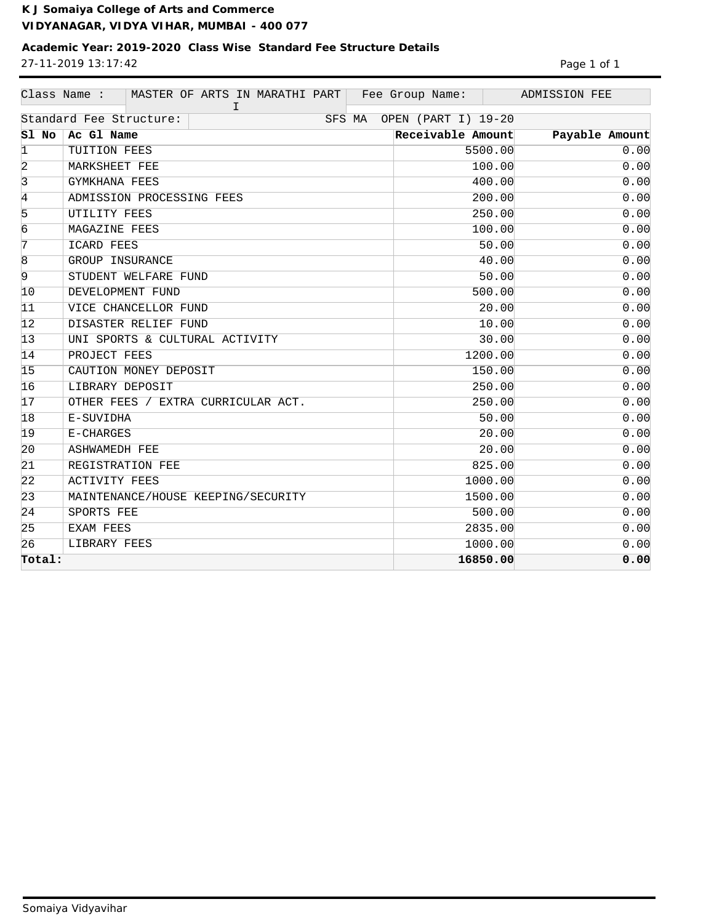**K J Somaiya College of Arts and Commerce VIDYANAGAR, VIDYA VIHAR, MUMBAI - 400 077**

## **Academic Year: 2019-2020 Class Wise Standard Fee Structure Details** 27-11-2019 13:17:42 Page 1 of 1

|                                                          | Class Name :<br>MASTER OF ARTS IN MARATHI PART<br>I. | Fee Group Name:   | ADMISSION FEE  |  |
|----------------------------------------------------------|------------------------------------------------------|-------------------|----------------|--|
| Standard Fee Structure:<br>OPEN (PART I) 19-20<br>SFS MA |                                                      |                   |                |  |
| Sl No                                                    | Ac Gl Name                                           | Receivable Amount | Payable Amount |  |
| $\vert$ 1                                                | TUITION FEES                                         | 5500.00           | 0.00           |  |
| 2                                                        | MARKSHEET FEE                                        | 100.00            | 0.00           |  |
| $\overline{3}$                                           | GYMKHANA FEES                                        | 400.00            | 0.00           |  |
| $\overline{4}$                                           | ADMISSION PROCESSING FEES                            | 200.00            | 0.00           |  |
| 5                                                        | UTILITY FEES                                         | 250.00            | 0.00           |  |
| $\overline{6}$                                           | MAGAZINE FEES                                        | 100.00            | 0.00           |  |
| $\overline{7}$                                           | ICARD FEES                                           | 50.00             | 0.00           |  |
| $\overline{8}$                                           | GROUP INSURANCE                                      | 40.00             | 0.00           |  |
| $\overline{9}$                                           | STUDENT WELFARE FUND                                 | 50.00             | 0.00           |  |
| 10                                                       | DEVELOPMENT FUND                                     | 500.00            | 0.00           |  |
| 11                                                       | VICE CHANCELLOR FUND                                 | 20.00             | 0.00           |  |
| 12                                                       | DISASTER RELIEF FUND                                 | 10.00             | 0.00           |  |
| 13                                                       | UNI SPORTS & CULTURAL ACTIVITY                       | 30.00             | 0.00           |  |
| 14                                                       | PROJECT FEES                                         | 1200.00           | 0.00           |  |
| 15                                                       | CAUTION MONEY DEPOSIT                                | 150.00            | 0.00           |  |
| 16                                                       | LIBRARY DEPOSIT                                      | 250.00            | 0.00           |  |
| 17                                                       | OTHER FEES / EXTRA CURRICULAR ACT.                   | 250.00            | 0.00           |  |
| 18                                                       | E-SUVIDHA                                            | 50.00             | 0.00           |  |
| 19                                                       | E-CHARGES                                            | 20.00             | 0.00           |  |
| 20                                                       | <b>ASHWAMEDH FEE</b>                                 | 20.00             | 0.00           |  |
| 21                                                       | REGISTRATION FEE                                     | 825.00            | 0.00           |  |
| $ 22\rangle$                                             | <b>ACTIVITY FEES</b>                                 | 1000.00           | 0.00           |  |
| 23                                                       | MAINTENANCE/HOUSE KEEPING/SECURITY                   | 1500.00           | 0.00           |  |
| 24                                                       | SPORTS FEE                                           | 500.00            | 0.00           |  |
| 25                                                       | EXAM FEES                                            | 2835.00           | 0.00           |  |
| 26                                                       | LIBRARY FEES                                         | 1000.00           | 0.00           |  |
| Total:                                                   |                                                      | 16850.00          | 0.00           |  |